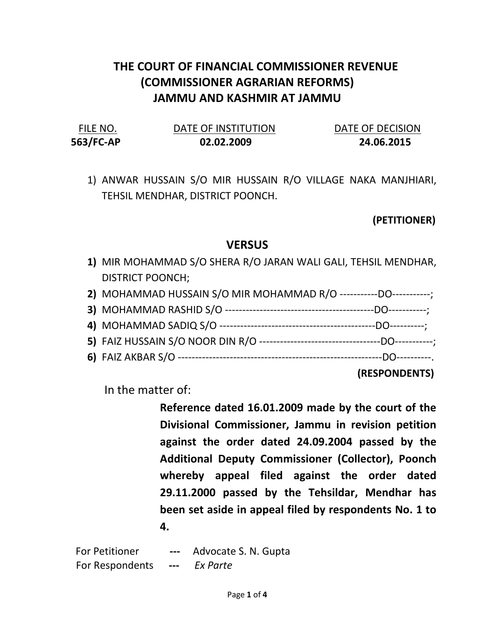## THE COURT OF FINANCIAL COMMISSIONER REVENUE (COMMISSIONER AGRARIAN REFORMS) JAMMU AND KASHMIR AT JAMMU

| FILE NO.  | DATE OF INSTITUTION | DATE OF DECISION |
|-----------|---------------------|------------------|
| 563/FC-AP | 02.02.2009          | 24.06.2015       |

1) ANWAR HUSSAIN S/O MIR HUSSAIN R/O VILLAGE NAKA MANJHIARI, TEHSIL MENDHAR, DISTRICT POONCH.

## (PETITIONER)

## **VERSUS**

1) MIR MOHAMMAD S/O SHERA R/O JARAN WALI GALI, TEHSIL MENDHAR, DISTRICT POONCH;

| 2) MOHAMMAD HUSSAIN S/O MIR MOHAMMAD R/O -----------DO-----------; |  |
|--------------------------------------------------------------------|--|
|                                                                    |  |
|                                                                    |  |
|                                                                    |  |
|                                                                    |  |
|                                                                    |  |

(RESPONDENTS)

In the matter of:

Reference dated 16.01.2009 made by the court of the Divisional Commissioner, Jammu in revision petition against the order dated 24.09.2004 passed by the Additional Deputy Commissioner (Collector), Poonch whereby appeal filed against the order dated 29.11.2000 passed by the Tehsildar, Mendhar has been set aside in appeal filed by respondents No. 1 to 4.

For Petitioner --- Advocate S. N. Gupta For Respondents --- Ex Parte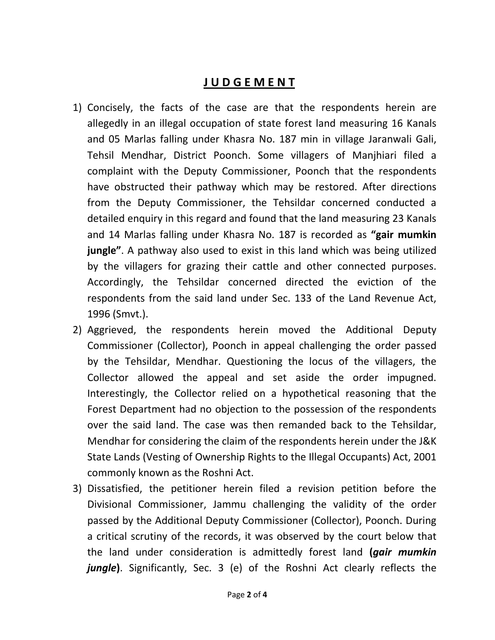## J U D G E M E N T

- 1) Concisely, the facts of the case are that the respondents herein are allegedly in an illegal occupation of state forest land measuring 16 Kanals and 05 Marlas falling under Khasra No. 187 min in village Jaranwali Gali, Tehsil Mendhar, District Poonch. Some villagers of Manjhiari filed a complaint with the Deputy Commissioner, Poonch that the respondents have obstructed their pathway which may be restored. After directions from the Deputy Commissioner, the Tehsildar concerned conducted a detailed enquiry in this regard and found that the land measuring 23 Kanals and 14 Marlas falling under Khasra No. 187 is recorded as "gair mumkin jungle". A pathway also used to exist in this land which was being utilized by the villagers for grazing their cattle and other connected purposes. Accordingly, the Tehsildar concerned directed the eviction of the respondents from the said land under Sec. 133 of the Land Revenue Act, 1996 (Smvt.).
- 2) Aggrieved, the respondents herein moved the Additional Deputy Commissioner (Collector), Poonch in appeal challenging the order passed by the Tehsildar, Mendhar. Questioning the locus of the villagers, the Collector allowed the appeal and set aside the order impugned. Interestingly, the Collector relied on a hypothetical reasoning that the Forest Department had no objection to the possession of the respondents over the said land. The case was then remanded back to the Tehsildar, Mendhar for considering the claim of the respondents herein under the J&K State Lands (Vesting of Ownership Rights to the Illegal Occupants) Act, 2001 commonly known as the Roshni Act.
- 3) Dissatisfied, the petitioner herein filed a revision petition before the Divisional Commissioner, Jammu challenging the validity of the order passed by the Additional Deputy Commissioner (Collector), Poonch. During a critical scrutiny of the records, it was observed by the court below that the land under consideration is admittedly forest land (*gair mumkin* **jungle)**. Significantly, Sec. 3 (e) of the Roshni Act clearly reflects the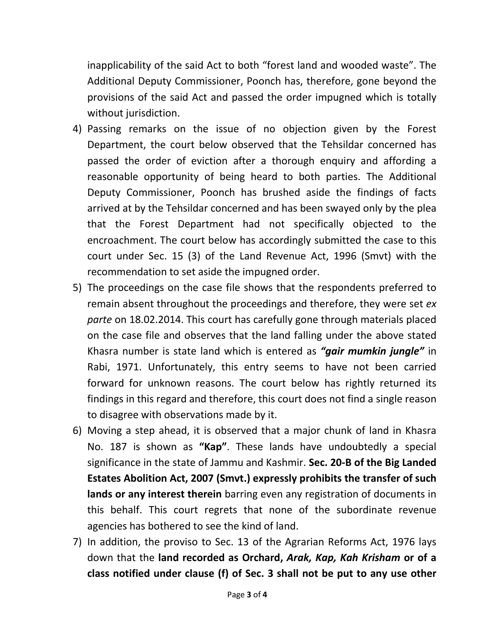inapplicability of the said Act to both "forest land and wooded waste". The Additional Deputy Commissioner, Poonch has, therefore, gone beyond the provisions of the said Act and passed the order impugned which is totally without jurisdiction.

- 4) Passing remarks on the issue of no objection given by the Forest Department, the court below observed that the Tehsildar concerned has passed the order of eviction after a thorough enquiry and affording a reasonable opportunity of being heard to both parties. The Additional Deputy Commissioner, Poonch has brushed aside the findings of facts arrived at by the Tehsildar concerned and has been swayed only by the plea that the Forest Department had not specifically objected to the encroachment. The court below has accordingly submitted the case to this court under Sec. 15 (3) of the Land Revenue Act, 1996 (Smvt) with the recommendation to set aside the impugned order.
- 5) The proceedings on the case file shows that the respondents preferred to remain absent throughout the proceedings and therefore, they were set ex parte on 18.02.2014. This court has carefully gone through materials placed on the case file and observes that the land falling under the above stated Khasra number is state land which is entered as "*gair mumkin jungle*" in Rabi, 1971. Unfortunately, this entry seems to have not been carried forward for unknown reasons. The court below has rightly returned its findings in this regard and therefore, this court does not find a single reason to disagree with observations made by it.
- 6) Moving a step ahead, it is observed that a major chunk of land in Khasra No. 187 is shown as "Kap". These lands have undoubtedly a special significance in the state of Jammu and Kashmir. Sec. 20-B of the Big Landed Estates Abolition Act, 2007 (Smvt.) expressly prohibits the transfer of such lands or any interest therein barring even any registration of documents in this behalf. This court regrets that none of the subordinate revenue agencies has bothered to see the kind of land.
- 7) In addition, the proviso to Sec. 13 of the Agrarian Reforms Act, 1976 lays down that the land recorded as Orchard, Arak, Kap, Kah Krisham or of a class notified under clause (f) of Sec. 3 shall not be put to any use other